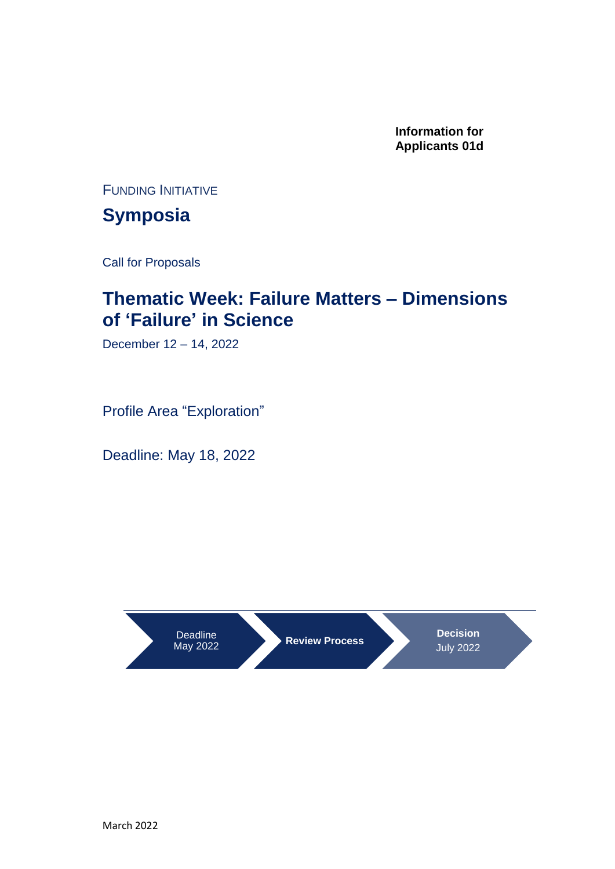**Information for Applicants 01d**

FUNDING INITIATIVE

**Symposia**

Call for Proposals

### **Thematic Week: Failure Matters – Dimensions of 'Failure' in Science**

December 12 – 14, 2022

Profile Area "Exploration"

Deadline: May 18, 2022

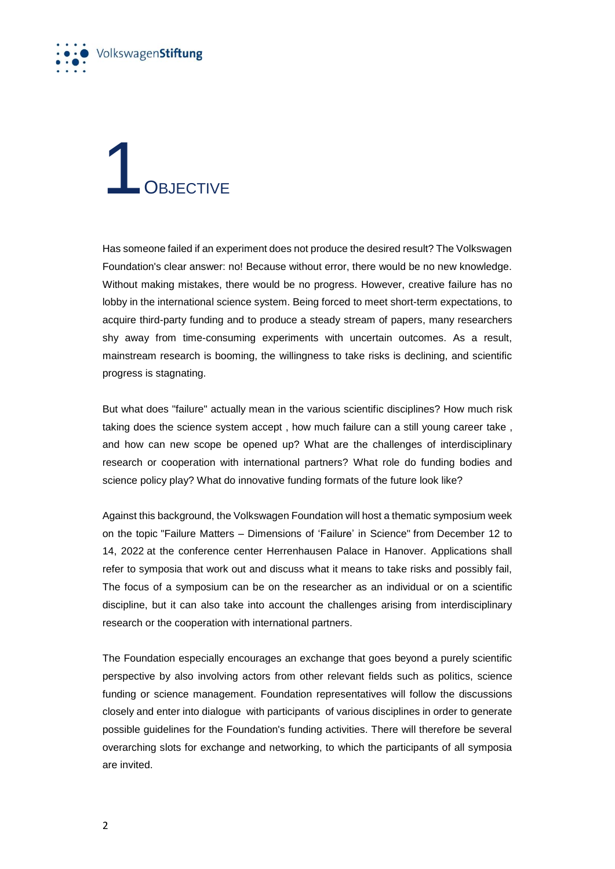

### OBJECTIVE

Has someone failed if an experiment does not produce the desired result? The Volkswagen Foundation's clear answer: no! Because without error, there would be no new knowledge. Without making mistakes, there would be no progress. However, creative failure has no lobby in the international science system. Being forced to meet short-term expectations, to acquire third-party funding and to produce a steady stream of papers, many researchers shy away from time-consuming experiments with uncertain outcomes. As a result, mainstream research is booming, the willingness to take risks is declining, and scientific progress is stagnating.

But what does "failure" actually mean in the various scientific disciplines? How much risk taking does the science system accept , how much failure can a still young career take , and how can new scope be opened up? What are the challenges of interdisciplinary research or cooperation with international partners? What role do funding bodies and science policy play? What do innovative funding formats of the future look like?

Against this background, the Volkswagen Foundation will host a thematic symposium week on the topic "Failure Matters – Dimensions of 'Failure' in Science" from December 12 to 14, 2022 at the conference center Herrenhausen Palace in Hanover. Applications shall refer to symposia that work out and discuss what it means to take risks and possibly fail, The focus of a symposium can be on the researcher as an individual or on a scientific discipline, but it can also take into account the challenges arising from interdisciplinary research or the cooperation with international partners.

The Foundation especially encourages an exchange that goes beyond a purely scientific perspective by also involving actors from other relevant fields such as politics, science funding or science management. Foundation representatives will follow the discussions closely and enter into dialogue with participants of various disciplines in order to generate possible guidelines for the Foundation's funding activities. There will therefore be several overarching slots for exchange and networking, to which the participants of all symposia are invited.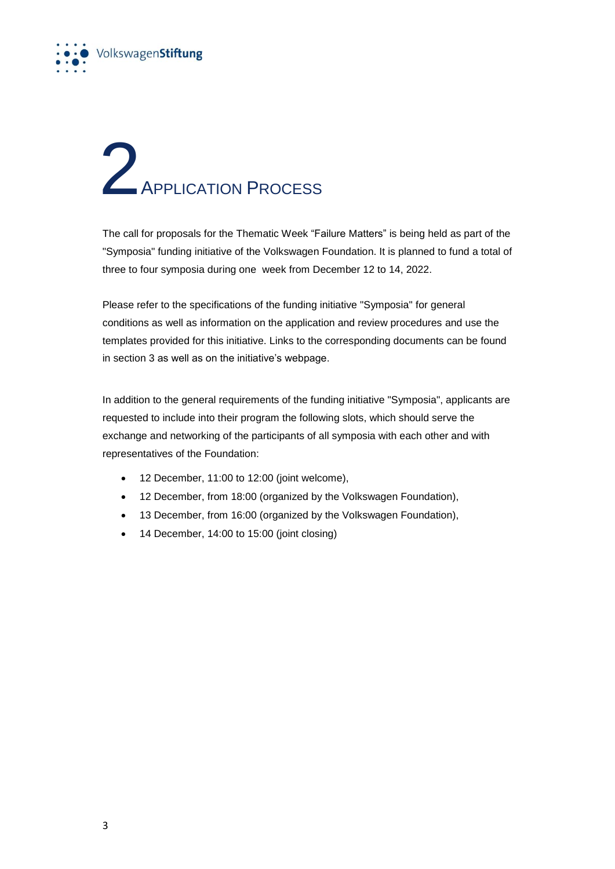

## **2**<br>APPLICATION PROCESS

The call for proposals for the Thematic Week "Failure Matters" is being held as part of the "Symposia" funding initiative of the Volkswagen Foundation. It is planned to fund a total of three to four symposia during one week from December 12 to 14, 2022.

Please refer to the specifications of the funding initiative "Symposia" for general conditions as well as information on the application and review procedures and use the templates provided for this initiative. Links to the corresponding documents can be found in section 3 as well as on the initiative's webpage.

In addition to the general requirements of the funding initiative "Symposia", applicants are requested to include into their program the following slots, which should serve the exchange and networking of the participants of all symposia with each other and with representatives of the Foundation:

- 12 December, 11:00 to 12:00 (joint welcome),
- 12 December, from 18:00 (organized by the Volkswagen Foundation),
- 13 December, from 16:00 (organized by the Volkswagen Foundation),
- 14 December, 14:00 to 15:00 (joint closing)